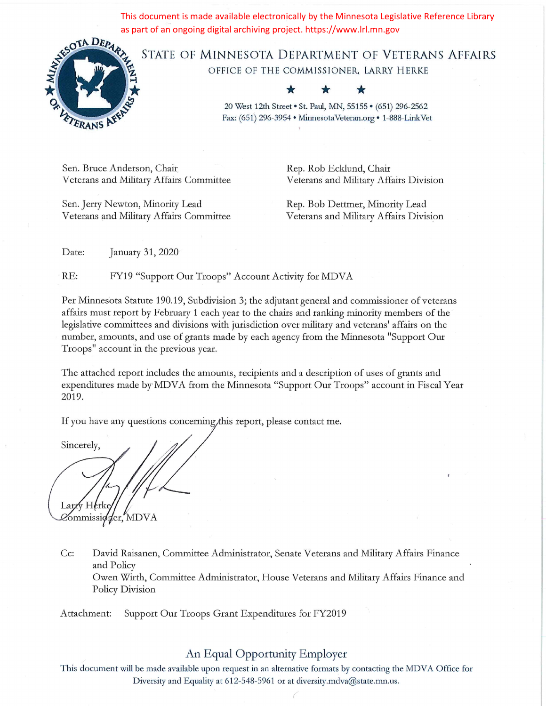This document is made available electronically by the Minnesota Legislative Reference Library as part of an ongoing digital archiving project. https://www.lrl.mn.gov



STATE OF MINNESOTA DEPARTMENT OF VETERANS AFFAIRS OFFICE OF THE COMMISSIONER, LARRY HERKE

> 20 West 12th Street . St. Paul, MN, 55155 . (651) 296-2562 Fax: (651) 296-3954 · Minnesota Veteran.org · 1-888-Link Vet

Sen. Bruce Anderson, Chair Veterans and Military Affairs Committee

Sen. Jerry Newton, Minority Lead Veterans and Military Affairs Committee Rep. Rob Ecklund, Chair Veterans and Military Affairs Division

Rep. Bob Dettmer, Minority Lead Veterans and Military Affairs Division

Date: January 31, 2020

RE: FY19 "Support Our Troops" Account Activity for MDVA

Per Minnesota Statute 190.19, Subdivision 3; the adjutant general and commissioner of veterans affairs must report by February 1 each year to the chairs and ranking minority members of the legislative committees and divisions with jurisdiction over military and veterans' affairs on the number, amounts, and use of grants made by each agency from the Minnesota "Support Our Troops" account in the previous year.

The attached report includes the amounts, recipients and a description of uses of grants and expenditures made by MDVA from the Minnesota "Support Our Troops" account in Fiscal Year 2019.

If you have any questions concerning this report, please contact me.

Sincerely, Larzy Herk Commissioner, MDVA

Cc: David Raisanen, Committee Administrator, Senate Veterans and Military Affairs Finance and Policy Owen Wirth, Committee Administrator, House Veterans and Military Affairs Finance and Policy Division

Attachment: Support Our Troops Grant Expenditures for FY2019

## An Equal Opportunity Employer

This document will be made available upon request in an alternative formats by contacting the MDVA Office for Diversity and Equality at 612-548-5961 or at diversity.mdva@state.mn.us.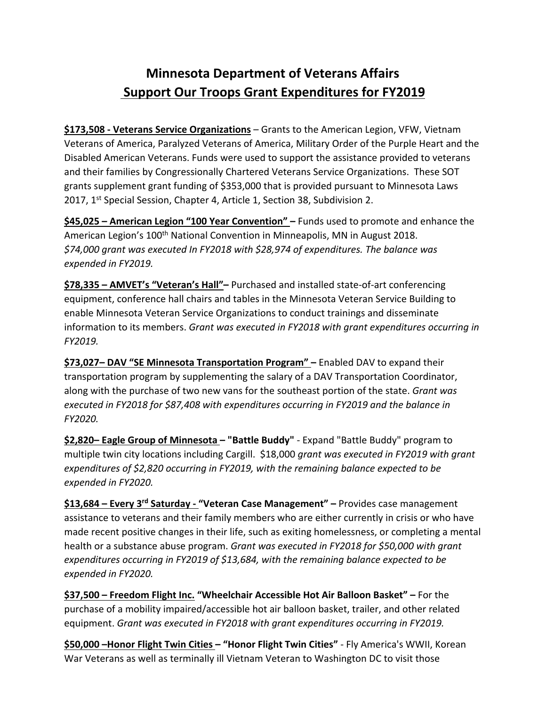## **Minnesota Department of Veterans Affairs Support Our Troops Grant Expenditures for FY2019**

**\$173,508 ‐ Veterans Service Organizations** – Grants to the American Legion, VFW, Vietnam Veterans of America, Paralyzed Veterans of America, Military Order of the Purple Heart and the Disabled American Veterans. Funds were used to support the assistance provided to veterans and their families by Congressionally Chartered Veterans Service Organizations. These SOT grants supplement grant funding of \$353,000 that is provided pursuant to Minnesota Laws 2017, 1<sup>st</sup> Special Session, Chapter 4, Article 1, Section 38, Subdivision 2.

**\$45,025 – American Legion "100 Year Convention" –** Funds used to promote and enhance the American Legion's 100<sup>th</sup> National Convention in Minneapolis, MN in August 2018. *\$74,000 grant was executed In FY2018 with \$28,974 of expenditures. The balance was expended in FY2019.*

**\$78,335 – AMVET's "Veteran's Hall"–** Purchased and installed state‐of‐art conferencing equipment, conference hall chairs and tables in the Minnesota Veteran Service Building to enable Minnesota Veteran Service Organizations to conduct trainings and disseminate information to its members. *Grant was executed in FY2018 with grant expenditures occurring in FY2019.*

**\$73,027– DAV "SE Minnesota Transportation Program" –** Enabled DAV to expand their transportation program by supplementing the salary of a DAV Transportation Coordinator, along with the purchase of two new vans for the southeast portion of the state. *Grant was executed in FY2018 for \$87,408 with expenditures occurring in FY2019 and the balance in FY2020.*

**\$2,820– Eagle Group of Minnesota – "Battle Buddy"** ‐ Expand "Battle Buddy" program to multiple twin city locations including Cargill. \$18,000 *grant was executed in FY2019 with grant expenditures of \$2,820 occurring in FY2019, with the remaining balance expected to be expended in FY2020.*

**\$13,684 – Every 3rd Saturday ‐ "Veteran Case Management" –** Provides case management assistance to veterans and their family members who are either currently in crisis or who have made recent positive changes in their life, such as exiting homelessness, or completing a mental health or a substance abuse program. *Grant was executed in FY2018 for \$50,000 with grant expenditures occurring in FY2019 of \$13,684, with the remaining balance expected to be expended in FY2020.*

**\$37,500 – Freedom Flight Inc. "Wheelchair Accessible Hot Air Balloon Basket" –** For the purchase of a mobility impaired/accessible hot air balloon basket, trailer, and other related equipment. *Grant was executed in FY2018 with grant expenditures occurring in FY2019.*

**\$50,000 –Honor Flight Twin Cities – "Honor Flight Twin Cities"** ‐ Fly America's WWII, Korean War Veterans as well as terminally ill Vietnam Veteran to Washington DC to visit those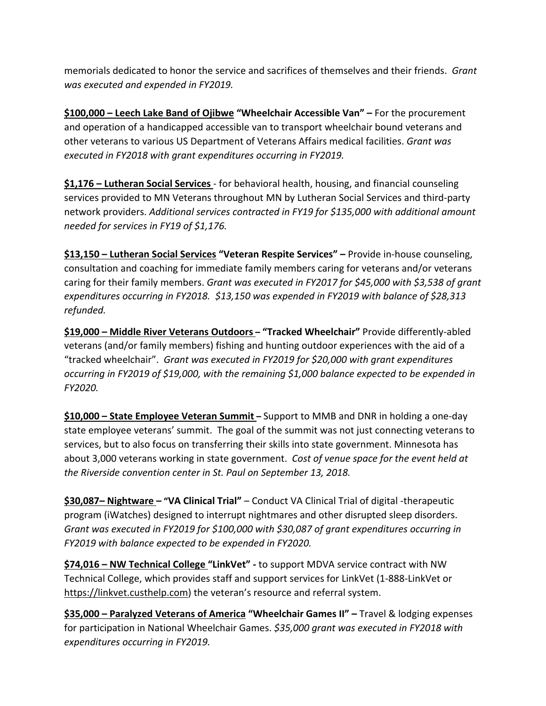memorials dedicated to honor the service and sacrifices of themselves and their friends. *Grant was executed and expended in FY2019.*

**\$100,000 – Leech Lake Band of Ojibwe "Wheelchair Accessible Van" –** For the procurement and operation of a handicapped accessible van to transport wheelchair bound veterans and other veterans to various US Department of Veterans Affairs medical facilities. *Grant was executed in FY2018 with grant expenditures occurring in FY2019.*

**\$1,176 – Lutheran Social Services** ‐ for behavioral health, housing, and financial counseling services provided to MN Veterans throughout MN by Lutheran Social Services and third‐party network providers. *Additional services contracted in FY19 for \$135,000 with additional amount needed for services in FY19 of \$1,176.*

**\$13,150 – Lutheran Social Services "Veteran Respite Services" –** Provide in‐house counseling, consultation and coaching for immediate family members caring for veterans and/or veterans caring for their family members. *Grant was executed in FY2017 for \$45,000 with \$3,538 of grant expenditures occurring in FY2018. \$13,150 was expended in FY2019 with balance of \$28,313 refunded.*

**\$19,000 – Middle River Veterans Outdoors – "Tracked Wheelchair"** Provide differently‐abled veterans (and/or family members) fishing and hunting outdoor experiences with the aid of a "tracked wheelchair". *Grant was executed in FY2019 for \$20,000 with grant expenditures occurring in FY2019 of \$19,000, with the remaining \$1,000 balance expected to be expended in FY2020.*

**\$10,000 – State Employee Veteran Summit –** Support to MMB and DNR in holding a one‐day state employee veterans' summit. The goal of the summit was not just connecting veterans to services, but to also focus on transferring their skills into state government. Minnesota has about 3,000 veterans working in state government.*Cost of venue space for the event held at the Riverside convention center in St. Paul on September 13, 2018.*

**\$30,087– Nightware – "VA Clinical Trial"** – Conduct VA Clinical Trial of digital ‐therapeutic program (iWatches) designed to interrupt nightmares and other disrupted sleep disorders. *Grant was executed in FY2019 for \$100,000 with \$30,087 of grant expenditures occurring in FY2019 with balance expected to be expended in FY2020.* 

**\$74,016 – NW Technical College "LinkVet" ‐** to support MDVA service contract with NW Technical College, which provides staff and support services for LinkVet (1‐888‐LinkVet or https://linkvet.custhelp.com) the veteran's resource and referral system.

**\$35,000 – Paralyzed Veterans of America "Wheelchair Games II" –** Travel & lodging expenses for participation in National Wheelchair Games. *\$35,000 grant was executed in FY2018 with expenditures occurring in FY2019.*